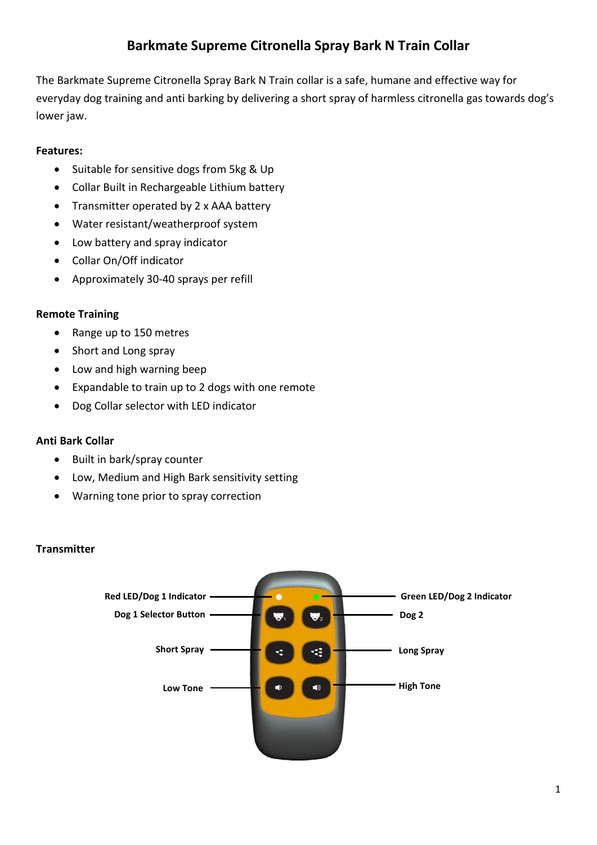# **Barkmate Supreme Citronella Spray Bark N Train Collar**

The Barkmate Supreme Citronella Spray Bark N Train collar is a safe, humane and effective way for everyday dog training and anti barking by delivering a short spray of harmless citronella gas towards dog's lower jaw.

## **Features:**

- Suitable for sensitive dogs from 5kg & Up
- Collar Built in Rechargeable Lithium battery
- Transmitter operated by 2 x AAA battery
- Water resistant/weatherproof system
- Low battery and spray indicator
- Collar On/Off indicator
- Approximately 30-40 sprays per refill

## **Remote Training**

- Range up to 150 metres
- Short and Long spray
- Low and high warning beep
- Expandable to train up to 2 dogs with one remote
- Dog Collar selector with LED indicator

## **Anti Bark Collar**

- Built in bark/spray counter
- Low, Medium and High Bark sensitivity setting
- Warning tone prior to spray correction

## **Transmitter**

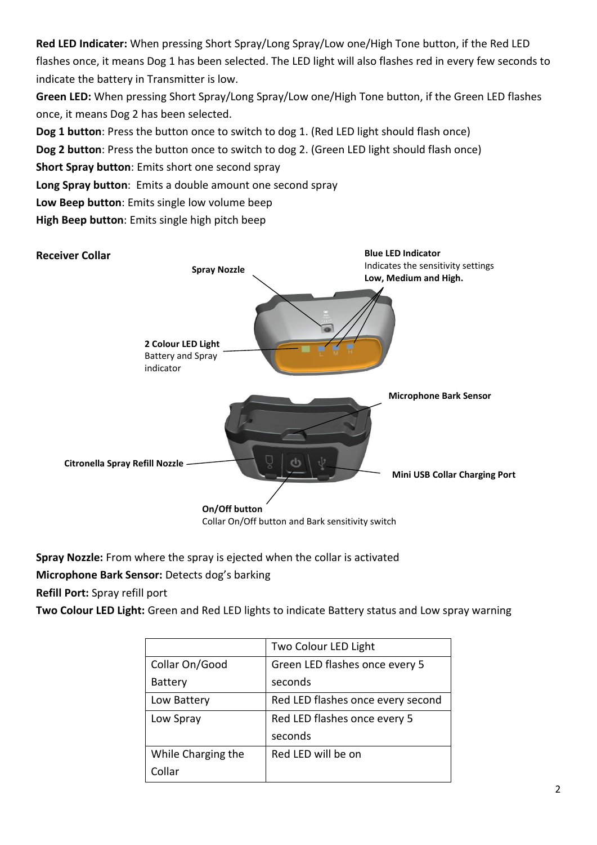**Red LED Indicater:** When pressing Short Spray/Long Spray/Low one/High Tone button, if the Red LED flashes once, it means Dog 1 has been selected. The LED light will also flashes red in every few seconds to indicate the battery in Transmitter is low.

**Green LED:** When pressing Short Spray/Long Spray/Low one/High Tone button, if the Green LED flashes once, it means Dog 2 has been selected.

**Dog 1 button**: Press the button once to switch to dog 1. (Red LED light should flash once)

**Dog 2 button**: Press the button once to switch to dog 2. (Green LED light should flash once)

**Short Spray button**: Emits short one second spray

**Long Spray button**: Emits a double amount one second spray

**Low Beep button**: Emits single low volume beep

**High Beep button**: Emits single high pitch beep



**Spray Nozzle:** From where the spray is ejected when the collar is activated

**Microphone Bark Sensor:** Detects dog's barking

**Refill Port:** Spray refill port

**Two Colour LED Light:** Green and Red LED lights to indicate Battery status and Low spray warning

|                    | Two Colour LED Light              |
|--------------------|-----------------------------------|
| Collar On/Good     | Green LED flashes once every 5    |
| <b>Battery</b>     | seconds                           |
| Low Battery        | Red LED flashes once every second |
| Low Spray          | Red LED flashes once every 5      |
|                    | seconds                           |
| While Charging the | Red LED will be on                |
| Collar             |                                   |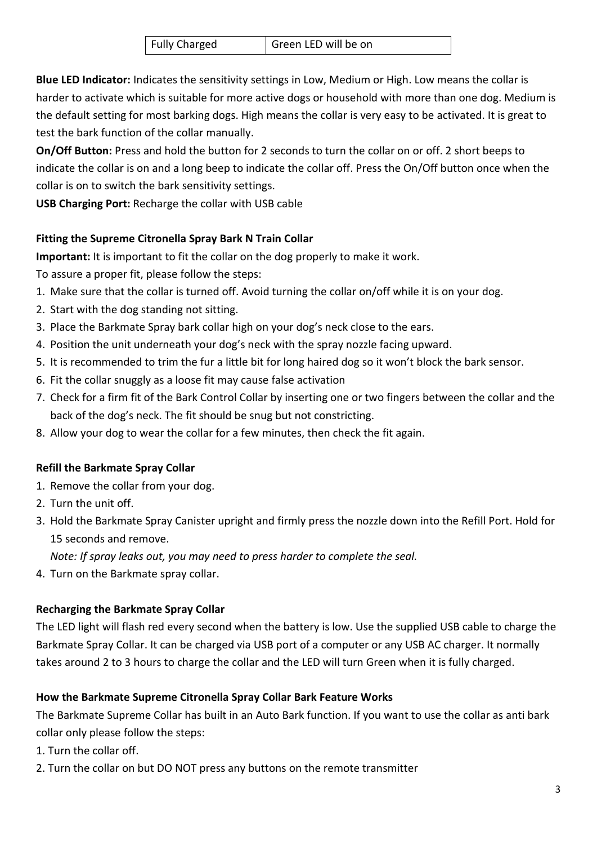| <b>Fully Charged</b> | Green LED will be on |
|----------------------|----------------------|
|                      |                      |

**Blue LED Indicator:** Indicates the sensitivity settings in Low, Medium or High. Low means the collar is harder to activate which is suitable for more active dogs or household with more than one dog. Medium is the default setting for most barking dogs. High means the collar is very easy to be activated. It is great to test the bark function of the collar manually.

**On/Off Button:** Press and hold the button for 2 seconds to turn the collar on or off. 2 short beeps to indicate the collar is on and a long beep to indicate the collar off. Press the On/Off button once when the collar is on to switch the bark sensitivity settings.

**USB Charging Port:** Recharge the collar with USB cable

## **Fitting the Supreme Citronella Spray Bark N Train Collar**

**Important:** It is important to fit the collar on the dog properly to make it work.

To assure a proper fit, please follow the steps:

- 1. Make sure that the collar is turned off. Avoid turning the collar on/off while it is on your dog.
- 2. Start with the dog standing not sitting.
- 3. Place the Barkmate Spray bark collar high on your dog's neck close to the ears.
- 4. Position the unit underneath your dog's neck with the spray nozzle facing upward.
- 5. It is recommended to trim the fur a little bit for long haired dog so it won't block the bark sensor.
- 6. Fit the collar snuggly as a loose fit may cause false activation
- 7. Check for a firm fit of the Bark Control Collar by inserting one or two fingers between the collar and the back of the dog's neck. The fit should be snug but not constricting.
- 8. Allow your dog to wear the collar for a few minutes, then check the fit again.

## **Refill the Barkmate Spray Collar**

- 1. Remove the collar from your dog.
- 2. Turn the unit off.
- 3. Hold the Barkmate Spray Canister upright and firmly press the nozzle down into the Refill Port. Hold for 15 seconds and remove.

*Note: If spray leaks out, you may need to press harder to complete the seal.*

4. Turn on the Barkmate spray collar.

# **Recharging the Barkmate Spray Collar**

The LED light will flash red every second when the battery is low. Use the supplied USB cable to charge the Barkmate Spray Collar. It can be charged via USB port of a computer or any USB AC charger. It normally takes around 2 to 3 hours to charge the collar and the LED will turn Green when it is fully charged.

# **How the Barkmate Supreme Citronella Spray Collar Bark Feature Works**

The Barkmate Supreme Collar has built in an Auto Bark function. If you want to use the collar as anti bark collar only please follow the steps:

- 1. Turn the collar off.
- 2. Turn the collar on but DO NOT press any buttons on the remote transmitter